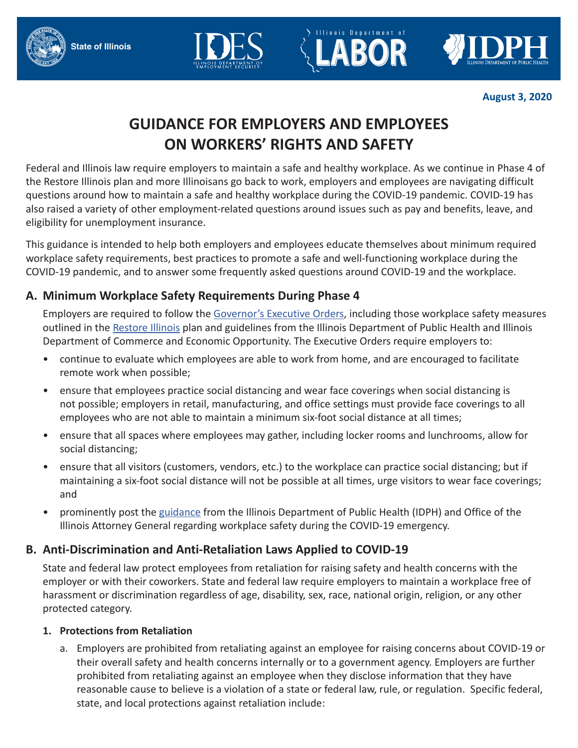**State of Illinois**







**August 3, 2020**

# **GUIDANCE FOR EMPLOYERS AND EMPLOYEES ON WORKERS' RIGHTS AND SAFETY**

Federal and Illinois law require employers to maintain a safe and healthy workplace. As we continue in Phase 4 of the Restore Illinois plan and more Illinoisans go back to work, employers and employees are navigating difficult questions around how to maintain a safe and healthy workplace during the COVID-19 pandemic. COVID-19 has also raised a variety of other employment-related questions around issues such as pay and benefits, leave, and eligibility for unemployment insurance.

This guidance is intended to help both employers and employees educate themselves about minimum required workplace safety requirements, best practices to promote a safe and well-functioning workplace during the COVID-19 pandemic, and to answer some frequently asked questions around COVID-19 and the workplace.

# **A. Minimum Workplace Safety Requirements During Phase 4**

Employers are required to follow the Governor's Executive Orders, including those workplace safety measures outlined in the Restore Illinois plan and guidelines from the Illinois Department of Public Health and Illinois Department of Commerce and Economic Opportunity. The Executive Orders require employers to:

- continue to evaluate which employees are able to work from home, and are encouraged to facilitate remote work when possible;
- ensure that employees practice social distancing and wear face coverings when social distancing is not possible; employers in retail, manufacturing, and office settings must provide face coverings to all employees who are not able to maintain a minimum six-foot social distance at all times;
- ensure that all spaces where employees may gather, including locker rooms and lunchrooms, allow for social distancing;
- ensure that all visitors (customers, vendors, etc.) to the workplace can practice social distancing; but if maintaining a six-foot social distance will not be possible at all times, urge visitors to wear face coverings; and
- prominently post the guidance from the Illinois Department of Public Health (IDPH) and Office of the Illinois Attorney General regarding workplace safety during the COVID-19 emergency.

# **B. Anti-Discrimination and Anti-Retaliation Laws Applied to COVID-19**

State and federal law protect employees from retaliation for raising safety and health concerns with the employer or with their coworkers. State and federal law require employers to maintain a workplace free of harassment or discrimination regardless of age, disability, sex, race, national origin, religion, or any other protected category.

# **1. Protections from Retaliation**

a. Employers are prohibited from retaliating against an employee for raising concerns about COVID-19 or their overall safety and health concerns internally or to a government agency. Employers are further prohibited from retaliating against an employee when they disclose information that they have reasonable cause to believe is a violation of a state or federal law, rule, or regulation. Specific federal, state, and local protections against retaliation include: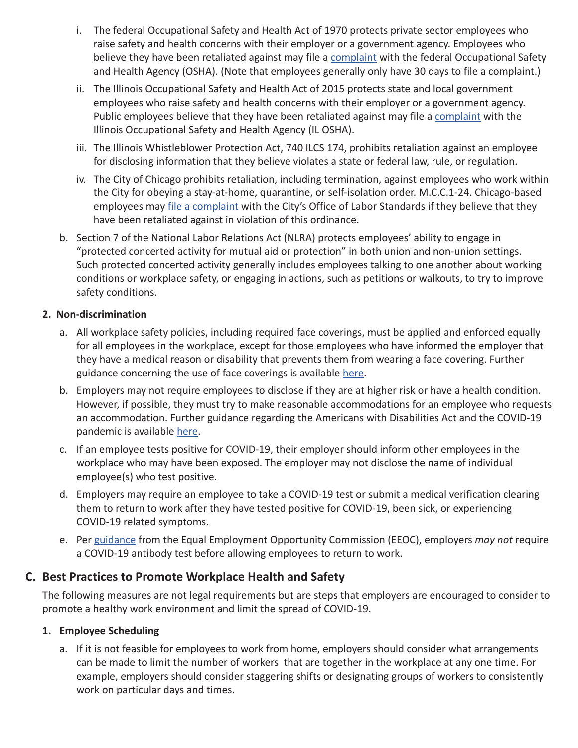- i. The federal Occupational Safety and Health Act of 1970 protects private sector employees who raise safety and health concerns with their employer or a government agency. Employees who believe they have been retaliated against may file a complaint with the federal Occupational Safety and Health Agency (OSHA). (Note that employees generally only have 30 days to file a complaint.)
- ii. The Illinois Occupational Safety and Health Act of 2015 protects state and local government employees who raise safety and health concerns with their employer or a government agency. Public employees believe that they have been retaliated against may file a complaint with the Illinois Occupational Safety and Health Agency (IL OSHA).
- iii. The Illinois Whistleblower Protection Act, 740 ILCS 174, prohibits retaliation against an employee for disclosing information that they believe violates a state or federal law, rule, or regulation.
- iv. The City of Chicago prohibits retaliation, including termination, against employees who work within the City for obeying a stay-at-home, quarantine, or self-isolation order. M.C.C.1-24. Chicago-based employees may file a complaint with the City's Office of Labor Standards if they believe that they have been retaliated against in violation of this ordinance.
- b. Section 7 of the National Labor Relations Act (NLRA) protects employees' ability to engage in "protected concerted activity for mutual aid or protection" in both union and non-union settings. Such protected concerted activity generally includes employees talking to one another about working conditions or workplace safety, or engaging in actions, such as petitions or walkouts, to try to improve safety conditions.

#### **2. Non-discrimination**

- a. All workplace safety policies, including required face coverings, must be applied and enforced equally for all employees in the workplace, except for those employees who have informed the employer that they have a medical reason or disability that prevents them from wearing a face covering. Further guidance concerning the use of face coverings is available here.
- b. Employers may not require employees to disclose if they are at higher risk or have a health condition. However, if possible, they must try to make reasonable accommodations for an employee who requests an accommodation. Further guidance regarding the Americans with Disabilities Act and the COVID-19 pandemic is available here.
- c. If an employee tests positive for COVID-19, their employer should inform other employees in the workplace who may have been exposed. The employer may not disclose the name of individual employee(s) who test positive.
- d. Employers may require an employee to take a COVID-19 test or submit a medical verification clearing them to return to work after they have tested positive for COVID-19, been sick, or experiencing COVID-19 related symptoms.
- e. Per guidance from the Equal Employment Opportunity Commission (EEOC), employers *may not* require a COVID-19 antibody test before allowing employees to return to work.

# **C. Best Practices to Promote Workplace Health and Safety**

The following measures are not legal requirements but are steps that employers are encouraged to consider to promote a healthy work environment and limit the spread of COVID-19.

#### **1. Employee Scheduling**

a. If it is not feasible for employees to work from home, employers should consider what arrangements can be made to limit the number of workers that are together in the workplace at any one time. For example, employers should consider staggering shifts or designating groups of workers to consistently work on particular days and times.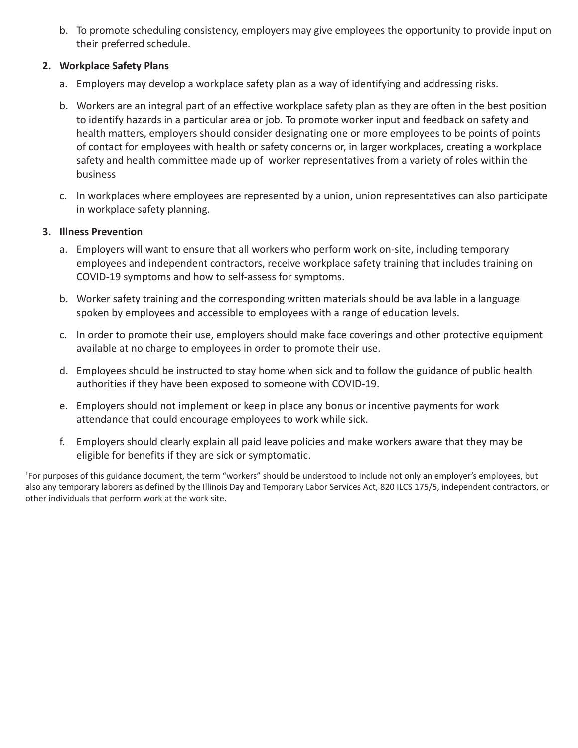b. To promote scheduling consistency, employers may give employees the opportunity to provide input on their preferred schedule.

#### **2. Workplace Safety Plans**

- a. Employers may develop a workplace safety plan as a way of identifying and addressing risks.
- b. Workers are an integral part of an effective workplace safety plan as they are often in the best position to identify hazards in a particular area or job. To promote worker input and feedback on safety and health matters, employers should consider designating one or more employees to be points of points of contact for employees with health or safety concerns or, in larger workplaces, creating a workplace safety and health committee made up of worker representatives from a variety of roles within the business
- c. In workplaces where employees are represented by a union, union representatives can also participate in workplace safety planning.

#### **3. Illness Prevention**

- a. Employers will want to ensure that all workers who perform work on-site, including temporary employees and independent contractors, receive workplace safety training that includes training on COVID-19 symptoms and how to self-assess for symptoms.
- b. Worker safety training and the corresponding written materials should be available in a language spoken by employees and accessible to employees with a range of education levels.
- c. In order to promote their use, employers should make face coverings and other protective equipment available at no charge to employees in order to promote their use.
- d. Employees should be instructed to stay home when sick and to follow the guidance of public health authorities if they have been exposed to someone with COVID-19.
- e. Employers should not implement or keep in place any bonus or incentive payments for work attendance that could encourage employees to work while sick.
- f. Employers should clearly explain all paid leave policies and make workers aware that they may be eligible for benefits if they are sick or symptomatic.

1 For purposes of this guidance document, the term "workers" should be understood to include not only an employer's employees, but also any temporary laborers as defined by the Illinois Day and Temporary Labor Services Act, 820 ILCS 175/5, independent contractors, or other individuals that perform work at the work site.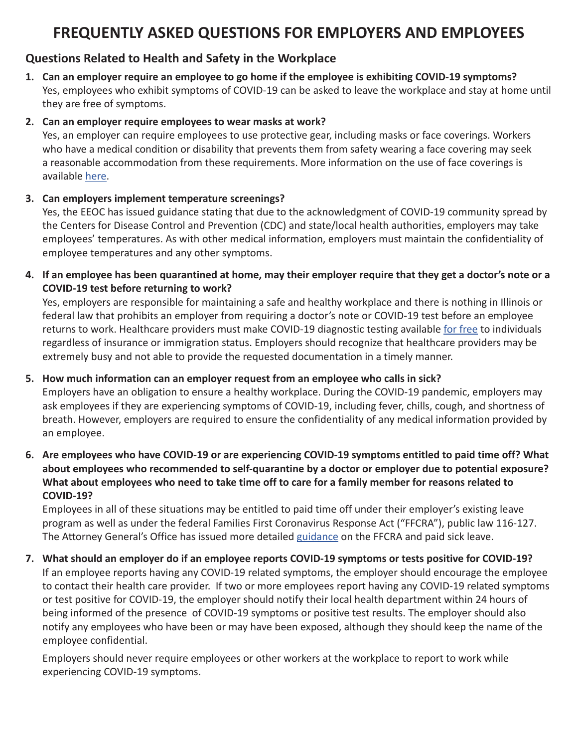# **FREQUENTLY ASKED QUESTIONS FOR EMPLOYERS AND EMPLOYEES**

# **Questions Related to Health and Safety in the Workplace**

**1. Can an employer require an employee to go home if the employee is exhibiting COVID-19 symptoms?** Yes, employees who exhibit symptoms of COVID-19 can be asked to leave the workplace and stay at home until they are free of symptoms.

#### **2. Can an employer require employees to wear masks at work?**

Yes, an employer can require employees to use protective gear, including masks or face coverings. Workers who have a medical condition or disability that prevents them from safety wearing a face covering may seek a reasonable accommodation from these requirements. More information on the use of face coverings is available here.

#### **3. Can employers implement temperature screenings?**

Yes, the EEOC has issued guidance stating that due to the acknowledgment of COVID-19 community spread by the Centers for Disease Control and Prevention (CDC) and state/local health authorities, employers may take employees' temperatures. As with other medical information, employers must maintain the confidentiality of employee temperatures and any other symptoms.

**4. If an employee has been quarantined at home, may their employer require that they get a doctor's note or a COVID-19 test before returning to work?** 

Yes, employers are responsible for maintaining a safe and healthy workplace and there is nothing in Illinois or federal law that prohibits an employer from requiring a doctor's note or COVID-19 test before an employee returns to work. Healthcare providers must make COVID-19 diagnostic testing available for free to individuals regardless of insurance or immigration status. Employers should recognize that healthcare providers may be extremely busy and not able to provide the requested documentation in a timely manner.

### **5. How much information can an employer request from an employee who calls in sick?**

Employers have an obligation to ensure a healthy workplace. During the COVID-19 pandemic, employers may ask employees if they are experiencing symptoms of COVID-19, including fever, chills, cough, and shortness of breath. However, employers are required to ensure the confidentiality of any medical information provided by an employee.

**6. Are employees who have COVID-19 or are experiencing COVID-19 symptoms entitled to paid time off? What about employees who recommended to self-quarantine by a doctor or employer due to potential exposure? What about employees who need to take time off to care for a family member for reasons related to COVID-19?**

Employees in all of these situations may be entitled to paid time off under their employer's existing leave program as well as under the federal Families First Coronavirus Response Act ("FFCRA"), public law 116-127. The Attorney General's Office has issued more detailed guidance on the FFCRA and paid sick leave.

# **7. What should an employer do if an employee reports COVID-19 symptoms or tests positive for COVID-19?**

If an employee reports having any COVID-19 related symptoms, the employer should encourage the employee to contact their health care provider. If two or more employees report having any COVID-19 related symptoms or test positive for COVID-19, the employer should notify their local health department within 24 hours of being informed of the presence of COVID-19 symptoms or positive test results. The employer should also notify any employees who have been or may have been exposed, although they should keep the name of the employee confidential.

Employers should never require employees or other workers at the workplace to report to work while experiencing COVID-19 symptoms.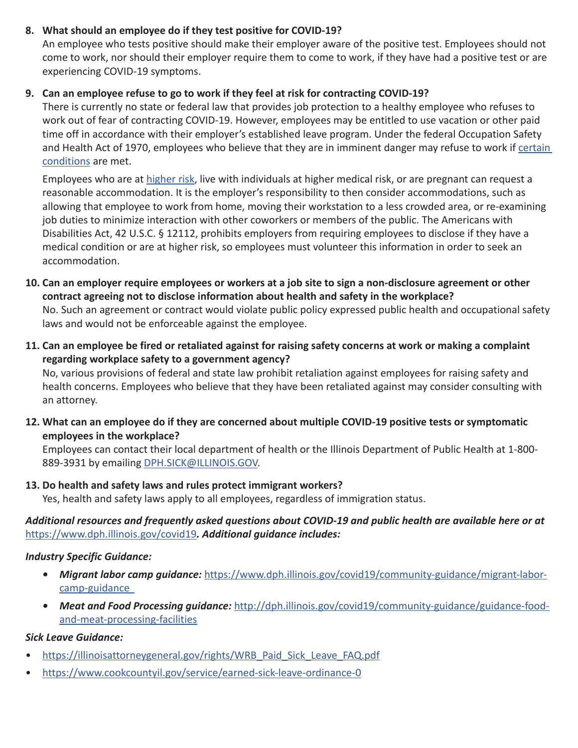#### **8. What should an employee do if they test positive for COVID-19?**

An employee who tests positive should make their employer aware of the positive test. Employees should not come to work, nor should their employer require them to come to work, if they have had a positive test or are experiencing COVID-19 symptoms.

#### **9. Can an employee refuse to go to work if they feel at risk for contracting COVID-19?**

There is currently no state or federal law that provides job protection to a healthy employee who refuses to work out of fear of contracting COVID-19. However, employees may be entitled to use vacation or other paid time off in accordance with their employer's established leave program. Under the federal Occupation Safety and Health Act of 1970, employees who believe that they are in imminent danger may refuse to work if certain conditions are met.

Employees who are at higher risk, live with individuals at higher medical risk, or are pregnant can request a reasonable accommodation. It is the employer's responsibility to then consider accommodations, such as allowing that employee to work from home, moving their workstation to a less crowded area, or re-examining job duties to minimize interaction with other coworkers or members of the public. The Americans with Disabilities Act, 42 U.S.C. § 12112, prohibits employers from requiring employees to disclose if they have a medical condition or are at higher risk, so employees must volunteer this information in order to seek an accommodation.

- **10. Can an employer require employees or workers at a job site to sign a non-disclosure agreement or other contract agreeing not to disclose information about health and safety in the workplace?** No. Such an agreement or contract would violate public policy expressed public health and occupational safety laws and would not be enforceable against the employee.
- **11. Can an employee be fired or retaliated against for raising safety concerns at work or making a complaint regarding workplace safety to a government agency?**

No, various provisions of federal and state law prohibit retaliation against employees for raising safety and health concerns. Employees who believe that they have been retaliated against may consider consulting with an attorney.

**12. What can an employee do if they are concerned about multiple COVID-19 positive tests or symptomatic employees in the workplace?**

Employees can contact their local department of health or the Illinois Department of Public Health at 1-800- 889-3931 by emailing DPH.SICK@ILLINOIS.GOV.

#### **13. Do health and safety laws and rules protect immigrant workers?**

Yes, health and safety laws apply to all employees, regardless of immigration status.

#### *Additional resources and frequently asked questions about COVID-19 and public health are available here or at*  https://www.dph.illinois.gov/covid19*. Additional guidance includes:*

#### *Industry Specific Guidance:*

- Migrant labor camp guidance: https://www.dph.illinois.gov/covid19/community-guidance/migrant-laborcamp-guidance
- *• Meat and Food Processing guidance:* http://dph.illinois.gov/covid19/community-guidance/guidance-foodand-meat-processing-facilities

#### *Sick Leave Guidance:*

- https://illinoisattorneygeneral.gov/rights/WRB Paid Sick Leave FAQ.pdf
- https://www.cookcountyil.gov/service/earned-sick-leave-ordinance-0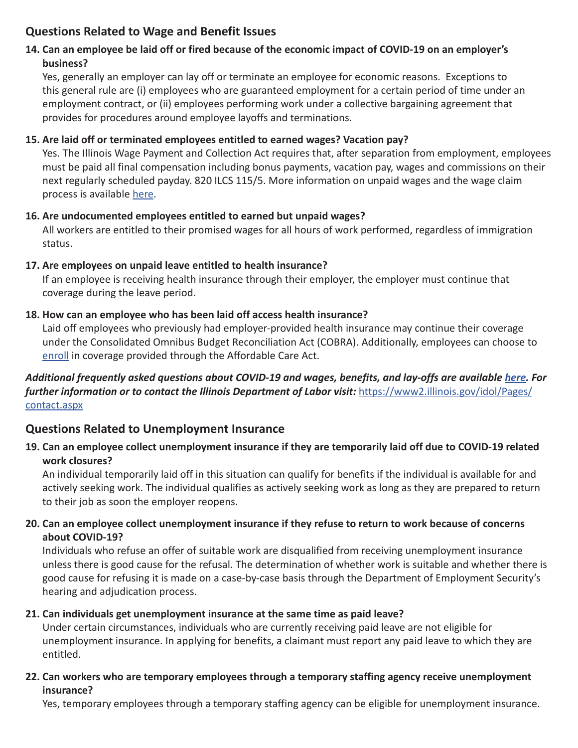# **Questions Related to Wage and Benefit Issues**

# **14. Can an employee be laid off or fired because of the economic impact of COVID-19 on an employer's business?**

Yes, generally an employer can lay off or terminate an employee for economic reasons. Exceptions to this general rule are (i) employees who are guaranteed employment for a certain period of time under an employment contract, or (ii) employees performing work under a collective bargaining agreement that provides for procedures around employee layoffs and terminations.

### **15. Are laid off or terminated employees entitled to earned wages? Vacation pay?**

Yes. The Illinois Wage Payment and Collection Act requires that, after separation from employment, employees must be paid all final compensation including bonus payments, vacation pay, wages and commissions on their next regularly scheduled payday. 820 ILCS 115/5. More information on unpaid wages and the wage claim process is available here.

# **16. Are undocumented employees entitled to earned but unpaid wages?**

All workers are entitled to their promised wages for all hours of work performed, regardless of immigration status.

#### **17. Are employees on unpaid leave entitled to health insurance?**

If an employee is receiving health insurance through their employer, the employer must continue that coverage during the leave period.

#### **18. How can an employee who has been laid off access health insurance?**

Laid off employees who previously had employer-provided health insurance may continue their coverage under the Consolidated Omnibus Budget Reconciliation Act (COBRA). Additionally, employees can choose to enroll in coverage provided through the Affordable Care Act.

# *Additional frequently asked questions about COVID-19 and wages, benefits, and lay-offs are available here. For further information or to contact the Illinois Department of Labor visit:* https://www2.illinois.gov/idol/Pages/ contact.aspx

# **Questions Related to Unemployment Insurance**

**19. Can an employee collect unemployment insurance if they are temporarily laid off due to COVID-19 related work closures?**

An individual temporarily laid off in this situation can qualify for benefits if the individual is available for and actively seeking work. The individual qualifies as actively seeking work as long as they are prepared to return to their job as soon the employer reopens.

# **20. Can an employee collect unemployment insurance if they refuse to return to work because of concerns about COVID-19?**

Individuals who refuse an offer of suitable work are disqualified from receiving unemployment insurance unless there is good cause for the refusal. The determination of whether work is suitable and whether there is good cause for refusing it is made on a case-by-case basis through the Department of Employment Security's hearing and adjudication process.

# **21. Can individuals get unemployment insurance at the same time as paid leave?**

Under certain circumstances, individuals who are currently receiving paid leave are not eligible for unemployment insurance. In applying for benefits, a claimant must report any paid leave to which they are entitled.

#### **22. Can workers who are temporary employees through a temporary staffing agency receive unemployment insurance?**

Yes, temporary employees through a temporary staffing agency can be eligible for unemployment insurance.